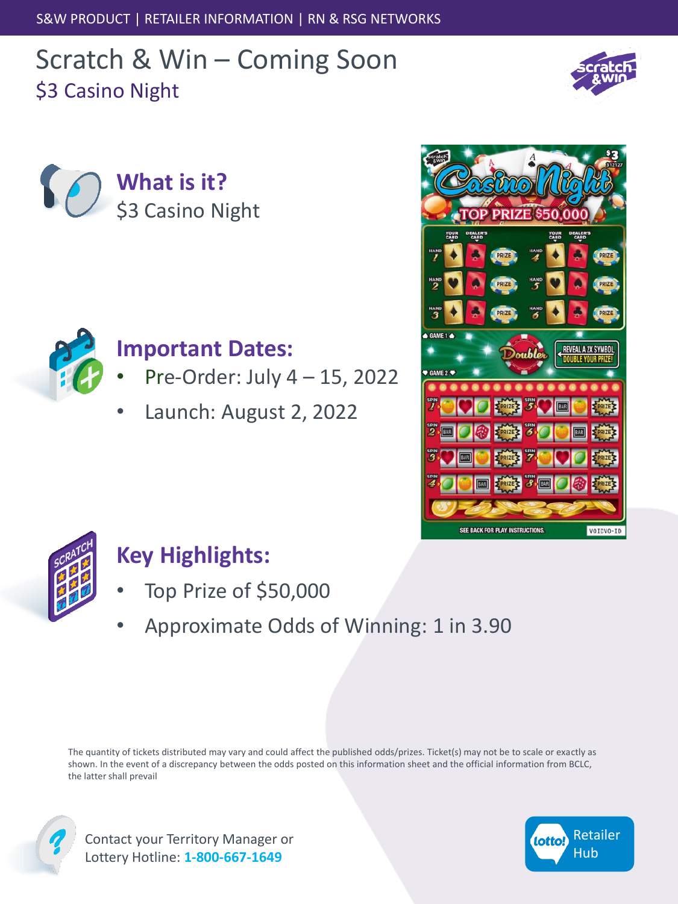S&W PRODUCT | RETAILER INFORMATION | RN & RSG NETWORKS

# Scratch & Win – Coming Soon \$3 Casino Night







#### **Important Dates:**

- Pre-Order: July 4 15, 2022
- Launch: August 2, 2022





# **Key Highlights:**

- Top Prize of \$50,000
- Approximate Odds of Winning: 1 in 3.90

The quantity of tickets distributed may vary and could affect the published odds/prizes. Ticket(s) may not be to scale or exactly as shown. In the event of a discrepancy between the odds posted on this information sheet and the official information from BCLC, the latter shall prevail



Contact your Territory Manager or Lottery Hotline: **1-800-667-1649**

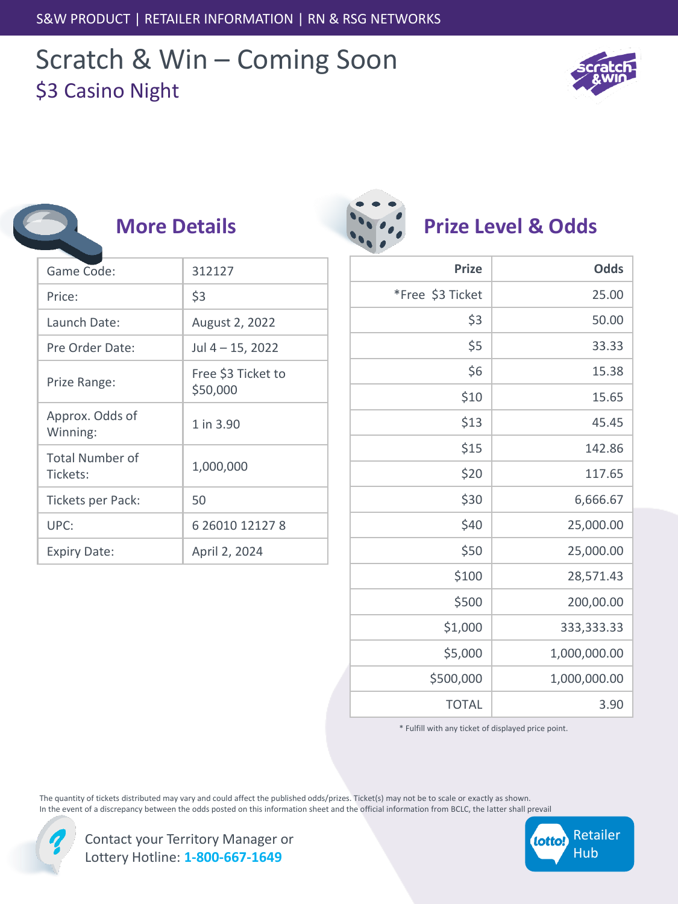## Scratch & Win – Coming Soon \$3 Casino Night



| <b>More Details</b>            |
|--------------------------------|
| 312127                         |
| \$3                            |
| August 2, 2022                 |
| Jul 4 - 15, 2022               |
| Free \$3 Ticket to<br>\$50,000 |
| 1 in 3.90                      |
| 1,000,000                      |
| 50                             |
| 6 26010 12127 8                |
| April 2, 2024                  |
|                                |

|                         | $\bullet$ $\bullet$ $\bullet$ |
|-------------------------|-------------------------------|
|                         |                               |
| $\mathbf{v}_\mathbf{a}$ |                               |
|                         |                               |

#### **Prize Level & Odds**

| <b>Prize</b>     | <b>Odds</b>  |
|------------------|--------------|
| *Free \$3 Ticket | 25.00        |
| \$3              | 50.00        |
| \$5              | 33.33        |
| \$6              | 15.38        |
| \$10             | 15.65        |
| \$13             | 45.45        |
| \$15             | 142.86       |
| \$20             | 117.65       |
| \$30             | 6,666.67     |
| \$40             | 25,000.00    |
| \$50             | 25,000.00    |
| \$100            | 28,571.43    |
| \$500            | 200,00.00    |
| \$1,000          | 333,333.33   |
| \$5,000          | 1,000,000.00 |
| \$500,000        | 1,000,000.00 |
| <b>TOTAL</b>     | 3.90         |

\* Fulfill with any ticket of displayed price point.

The quantity of tickets distributed may vary and could affect the published odds/prizes. Ticket(s) may not be to scale or exactly as shown. In the event of a discrepancy between the odds posted on this information sheet and the official information from BCLC, the latter shall prevail

| Contact your Territory Manager or |
|-----------------------------------|
| Lottery Hotline: 1-800-667-1649   |